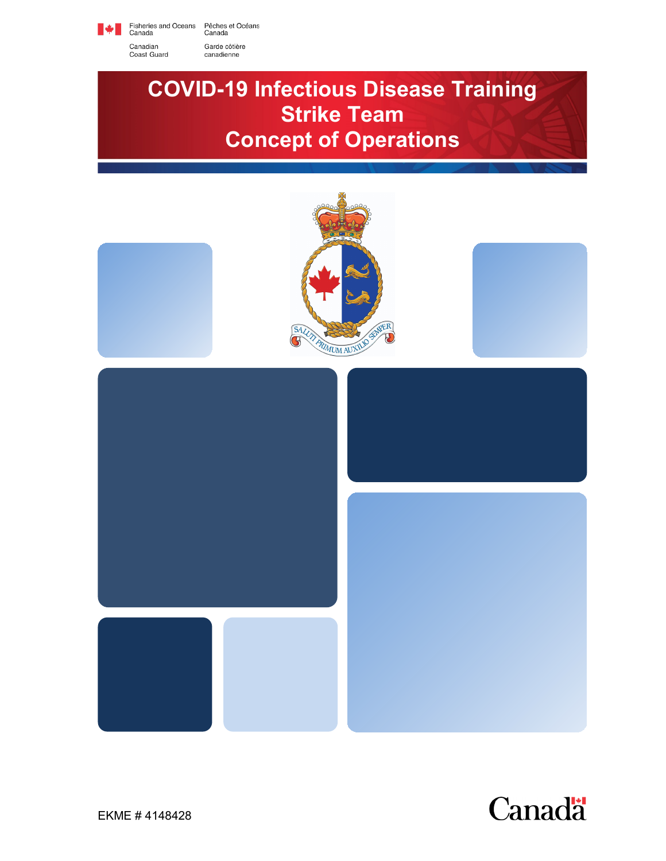

Fisheries and Oceans<br>Canada Pêches et Océans<br>Canada

Garde côtière

canadienne

Canadian Coast Guard

# **COVID-19 Infectious Disease Training Strike Team Concept of Operations**



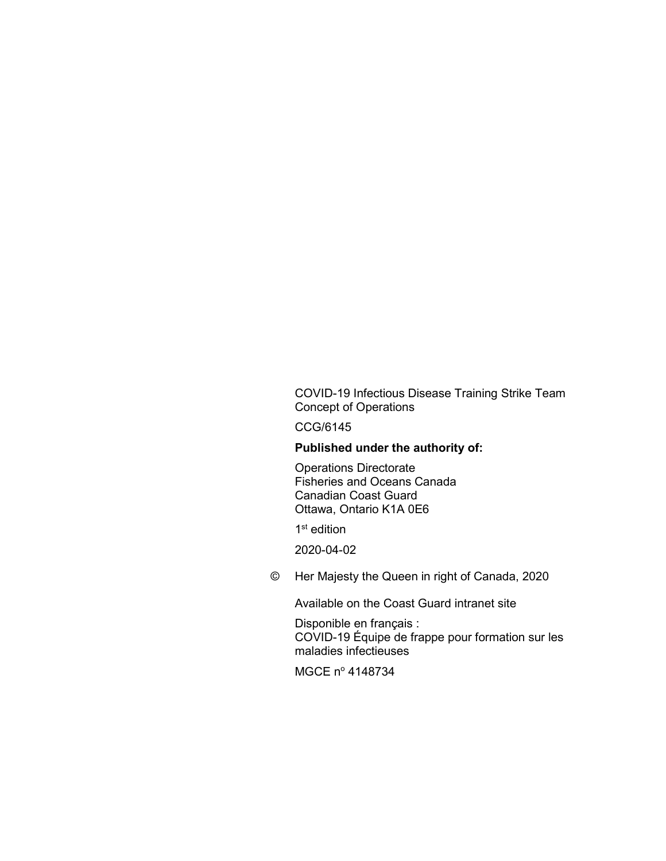COVID-19 Infectious Disease Training Strike Team Concept of Operations

CCG/6145

#### **Published under the authority of:**

Operations Directorate Fisheries and Oceans Canada Canadian Coast Guard Ottawa, Ontario K1A 0E6

<span id="page-1-0"></span>1<sup>st</sup> edition

2020-04-02

<span id="page-1-1"></span>© Her Majesty the Queen in right of Canada, 2020

Available on the Coast Guard intranet site

Disponible en français : COVID-19 Équipe de frappe pour formation sur les maladies infectieuses

MGCE nº 4148734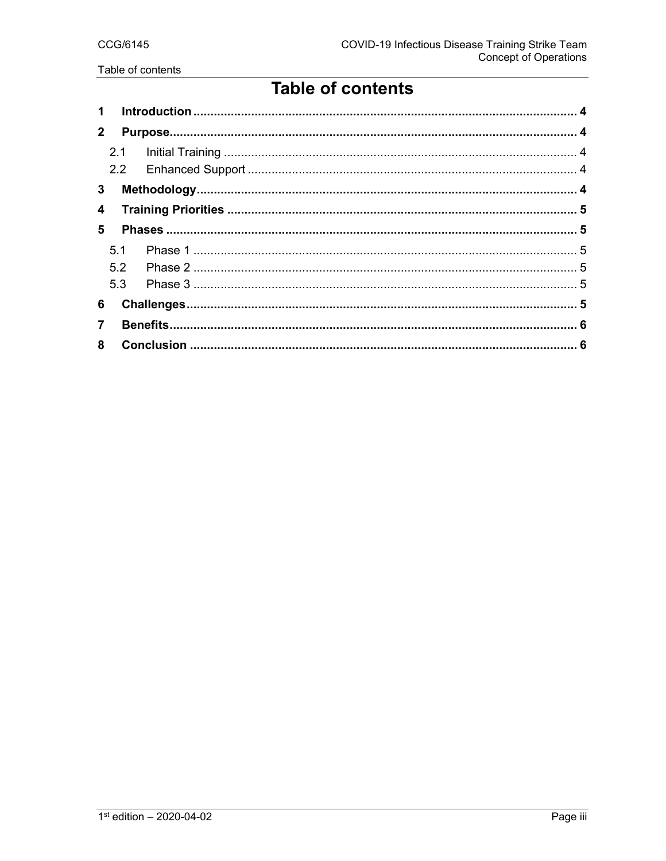## **Table of contents**

| 1            |     |  |  |
|--------------|-----|--|--|
| $\mathbf{2}$ |     |  |  |
|              | 2.1 |  |  |
|              |     |  |  |
| 3            |     |  |  |
| 4            |     |  |  |
| 5            |     |  |  |
|              | 5.1 |  |  |
|              | 5.2 |  |  |
|              | 5.3 |  |  |
| 6            |     |  |  |
| 7            |     |  |  |
| 8            |     |  |  |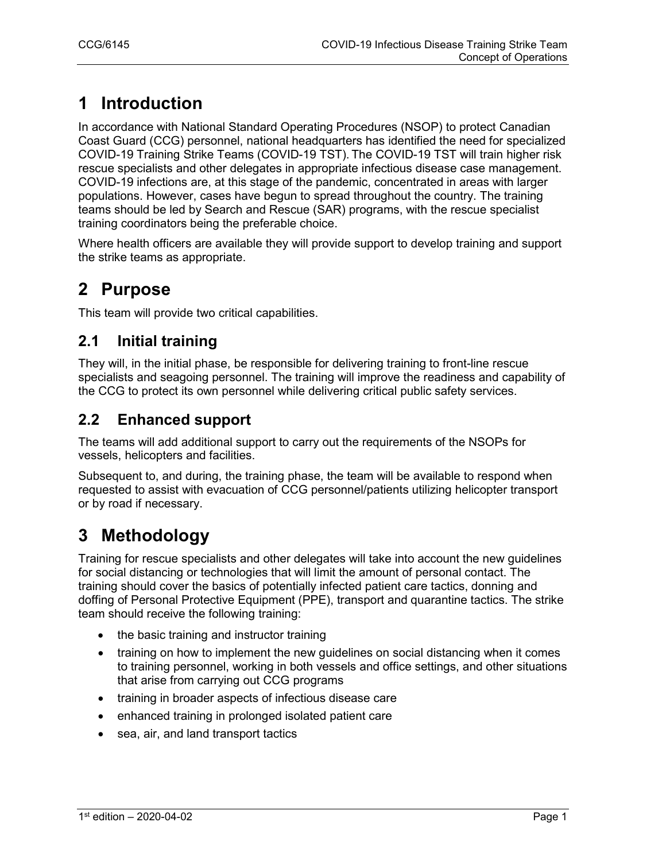### **1 Introduction**

In accordance with National Standard Operating Procedures (NSOP) to protect Canadian Coast Guard (CCG) personnel, national headquarters has identified the need for specialized COVID-19 Training Strike Teams (COVID-19 TST). The COVID-19 TST will train higher risk rescue specialists and other delegates in appropriate infectious disease case management. COVID-19 infections are, at this stage of the pandemic, concentrated in areas with larger populations. However, cases have begun to spread throughout the country. The training teams should be led by Search and Rescue (SAR) programs, with the rescue specialist training coordinators being the preferable choice.

Where health officers are available they will provide support to develop training and support the strike teams as appropriate.

### **2 Purpose**

This team will provide two critical capabilities.

#### **2.1 Initial training**

They will, in the initial phase, be responsible for delivering training to front-line rescue specialists and seagoing personnel. The training will improve the readiness and capability of the CCG to protect its own personnel while delivering critical public safety services.

#### **2.2 Enhanced support**

The teams will add additional support to carry out the requirements of the NSOPs for vessels, helicopters and facilities.

Subsequent to, and during, the training phase, the team will be available to respond when requested to assist with evacuation of CCG personnel/patients utilizing helicopter transport or by road if necessary.

### **3 Methodology**

Training for rescue specialists and other delegates will take into account the new guidelines for social distancing or technologies that will limit the amount of personal contact. The training should cover the basics of potentially infected patient care tactics, donning and doffing of Personal Protective Equipment (PPE), transport and quarantine tactics. The strike team should receive the following training:

- the basic training and instructor training
- training on how to implement the new guidelines on social distancing when it comes to training personnel, working in both vessels and office settings, and other situations that arise from carrying out CCG programs
- training in broader aspects of infectious disease care
- enhanced training in prolonged isolated patient care
- sea, air, and land transport tactics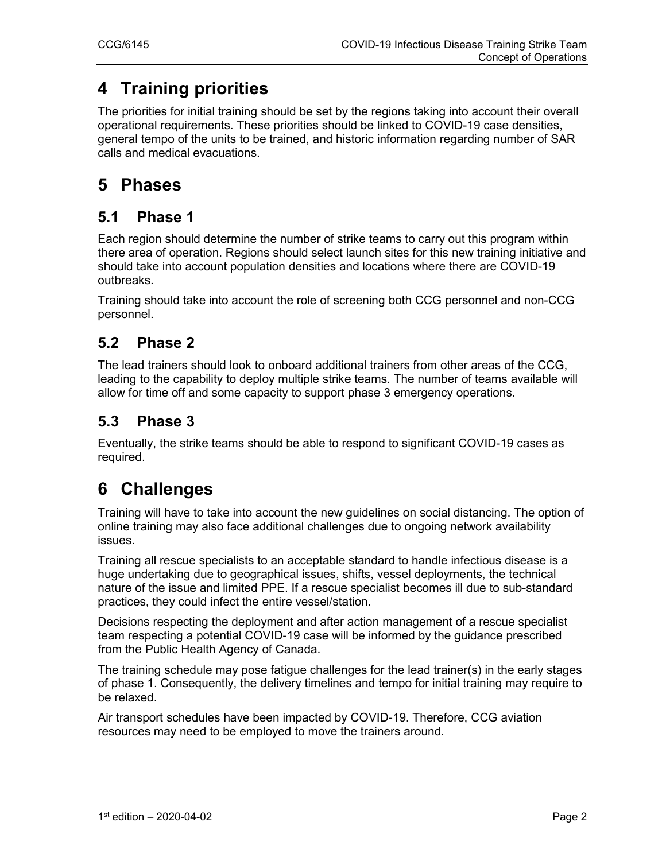### **4 Training priorities**

The priorities for initial training should be set by the regions taking into account their overall operational requirements. These priorities should be linked to COVID-19 case densities, general tempo of the units to be trained, and historic information regarding number of SAR calls and medical evacuations.

#### **5 Phases**

#### **5.1 Phase 1**

Each region should determine the number of strike teams to carry out this program within there area of operation. Regions should select launch sites for this new training initiative and should take into account population densities and locations where there are COVID-19 outbreaks.

Training should take into account the role of screening both CCG personnel and non-CCG personnel.

#### **5.2 Phase 2**

The lead trainers should look to onboard additional trainers from other areas of the CCG, leading to the capability to deploy multiple strike teams. The number of teams available will allow for time off and some capacity to support phase 3 emergency operations.

#### **5.3 Phase 3**

Eventually, the strike teams should be able to respond to significant COVID-19 cases as required.

### **6 Challenges**

Training will have to take into account the new guidelines on social distancing. The option of online training may also face additional challenges due to ongoing network availability issues.

Training all rescue specialists to an acceptable standard to handle infectious disease is a huge undertaking due to geographical issues, shifts, vessel deployments, the technical nature of the issue and limited PPE. If a rescue specialist becomes ill due to sub-standard practices, they could infect the entire vessel/station.

Decisions respecting the deployment and after action management of a rescue specialist team respecting a potential COVID-19 case will be informed by the guidance prescribed from the Public Health Agency of Canada.

The training schedule may pose fatigue challenges for the lead trainer(s) in the early stages of phase 1. Consequently, the delivery timelines and tempo for initial training may require to be relaxed.

Air transport schedules have been impacted by COVID-19. Therefore, CCG aviation resources may need to be employed to move the trainers around.